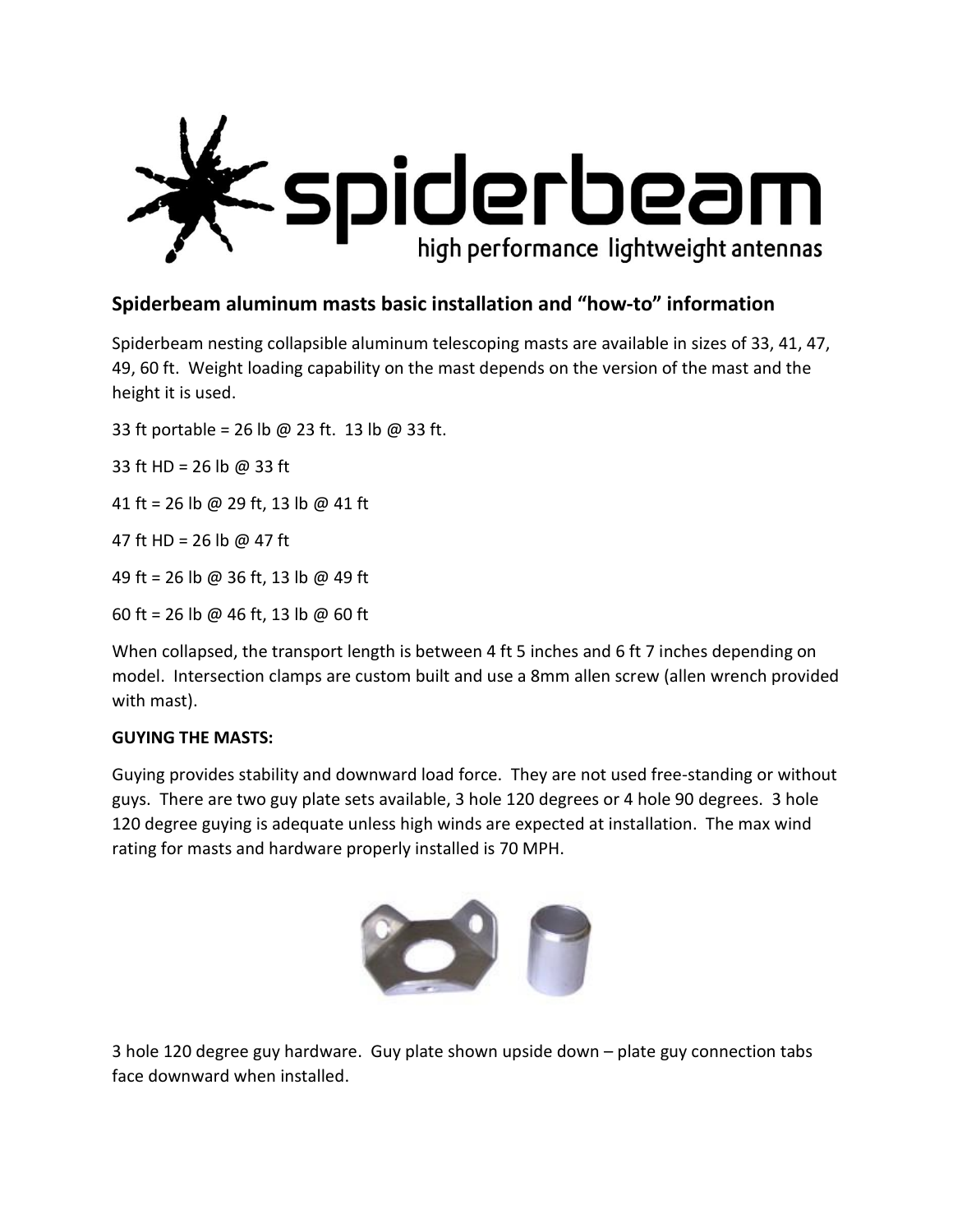

# **Spiderbeam aluminum masts basic installation and "how-to" information**

Spiderbeam nesting collapsible aluminum telescoping masts are available in sizes of 33, 41, 47, 49, 60 ft. Weight loading capability on the mast depends on the version of the mast and the height it is used.

33 ft portable = 26 lb @ 23 ft. 13 lb @ 33 ft.

33 ft HD = 26 lb @ 33 ft

41 ft = 26 lb @ 29 ft, 13 lb @ 41 ft

47 ft HD = 26 lb @ 47 ft

49 ft = 26 lb @ 36 ft, 13 lb @ 49 ft

60 ft = 26 lb @ 46 ft, 13 lb @ 60 ft

When collapsed, the transport length is between 4 ft 5 inches and 6 ft 7 inches depending on model. Intersection clamps are custom built and use a 8mm allen screw (allen wrench provided with mast).

## **GUYING THE MASTS:**

Guying provides stability and downward load force. They are not used free-standing or without guys. There are two guy plate sets available, 3 hole 120 degrees or 4 hole 90 degrees. 3 hole 120 degree guying is adequate unless high winds are expected at installation. The max wind rating for masts and hardware properly installed is 70 MPH.



3 hole 120 degree guy hardware. Guy plate shown upside down – plate guy connection tabs face downward when installed.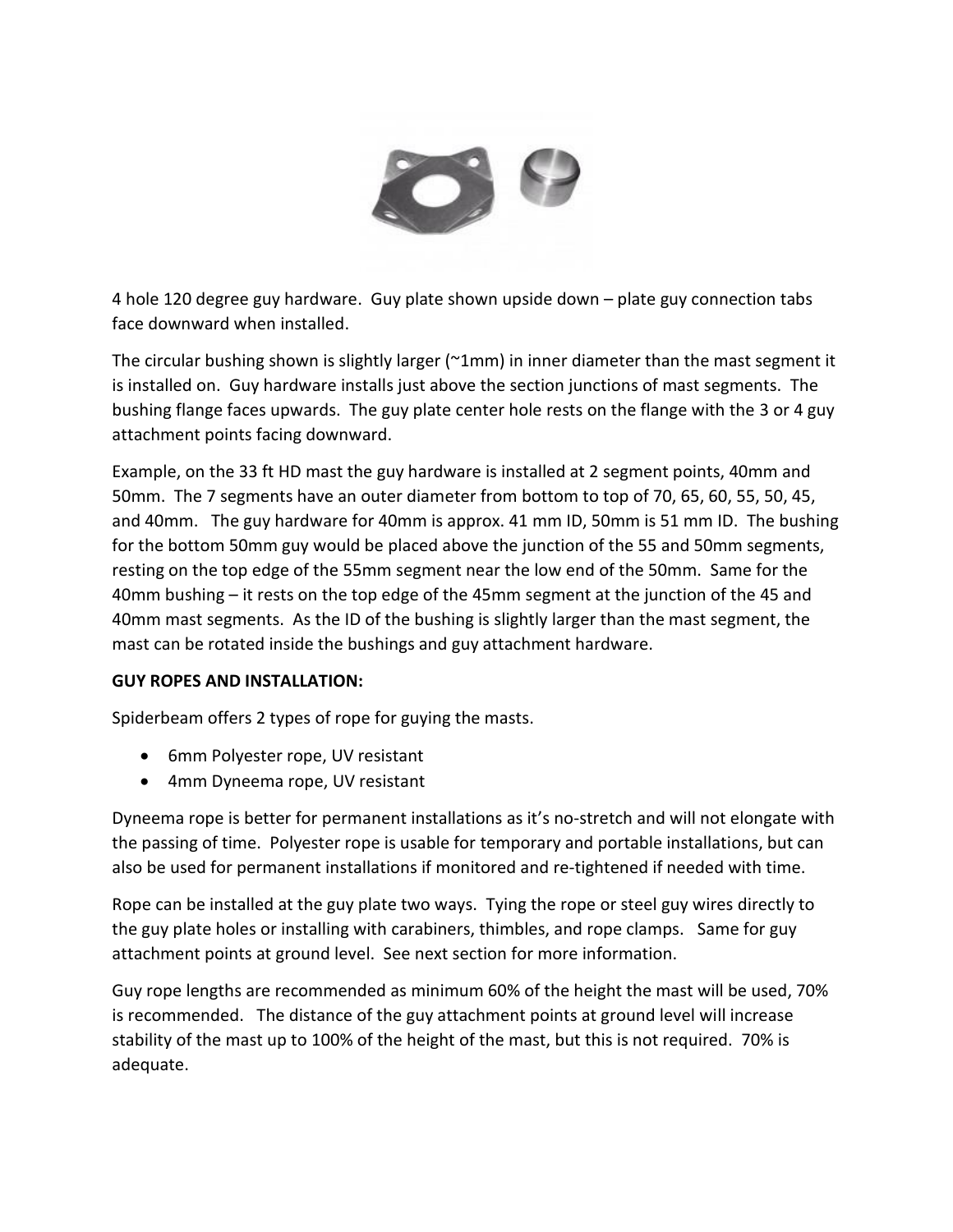

4 hole 120 degree guy hardware. Guy plate shown upside down – plate guy connection tabs face downward when installed.

The circular bushing shown is slightly larger ( $\gamma$ 1mm) in inner diameter than the mast segment it is installed on. Guy hardware installs just above the section junctions of mast segments. The bushing flange faces upwards. The guy plate center hole rests on the flange with the 3 or 4 guy attachment points facing downward.

Example, on the 33 ft HD mast the guy hardware is installed at 2 segment points, 40mm and 50mm. The 7 segments have an outer diameter from bottom to top of 70, 65, 60, 55, 50, 45, and 40mm. The guy hardware for 40mm is approx. 41 mm ID, 50mm is 51 mm ID. The bushing for the bottom 50mm guy would be placed above the junction of the 55 and 50mm segments, resting on the top edge of the 55mm segment near the low end of the 50mm. Same for the 40mm bushing – it rests on the top edge of the 45mm segment at the junction of the 45 and 40mm mast segments. As the ID of the bushing is slightly larger than the mast segment, the mast can be rotated inside the bushings and guy attachment hardware.

## **GUY ROPES AND INSTALLATION:**

Spiderbeam offers 2 types of rope for guying the masts.

- 6mm Polyester rope, UV resistant
- 4mm Dyneema rope, UV resistant

Dyneema rope is better for permanent installations as it's no-stretch and will not elongate with the passing of time. Polyester rope is usable for temporary and portable installations, but can also be used for permanent installations if monitored and re-tightened if needed with time.

Rope can be installed at the guy plate two ways. Tying the rope or steel guy wires directly to the guy plate holes or installing with carabiners, thimbles, and rope clamps. Same for guy attachment points at ground level. See next section for more information.

Guy rope lengths are recommended as minimum 60% of the height the mast will be used, 70% is recommended. The distance of the guy attachment points at ground level will increase stability of the mast up to 100% of the height of the mast, but this is not required. 70% is adequate.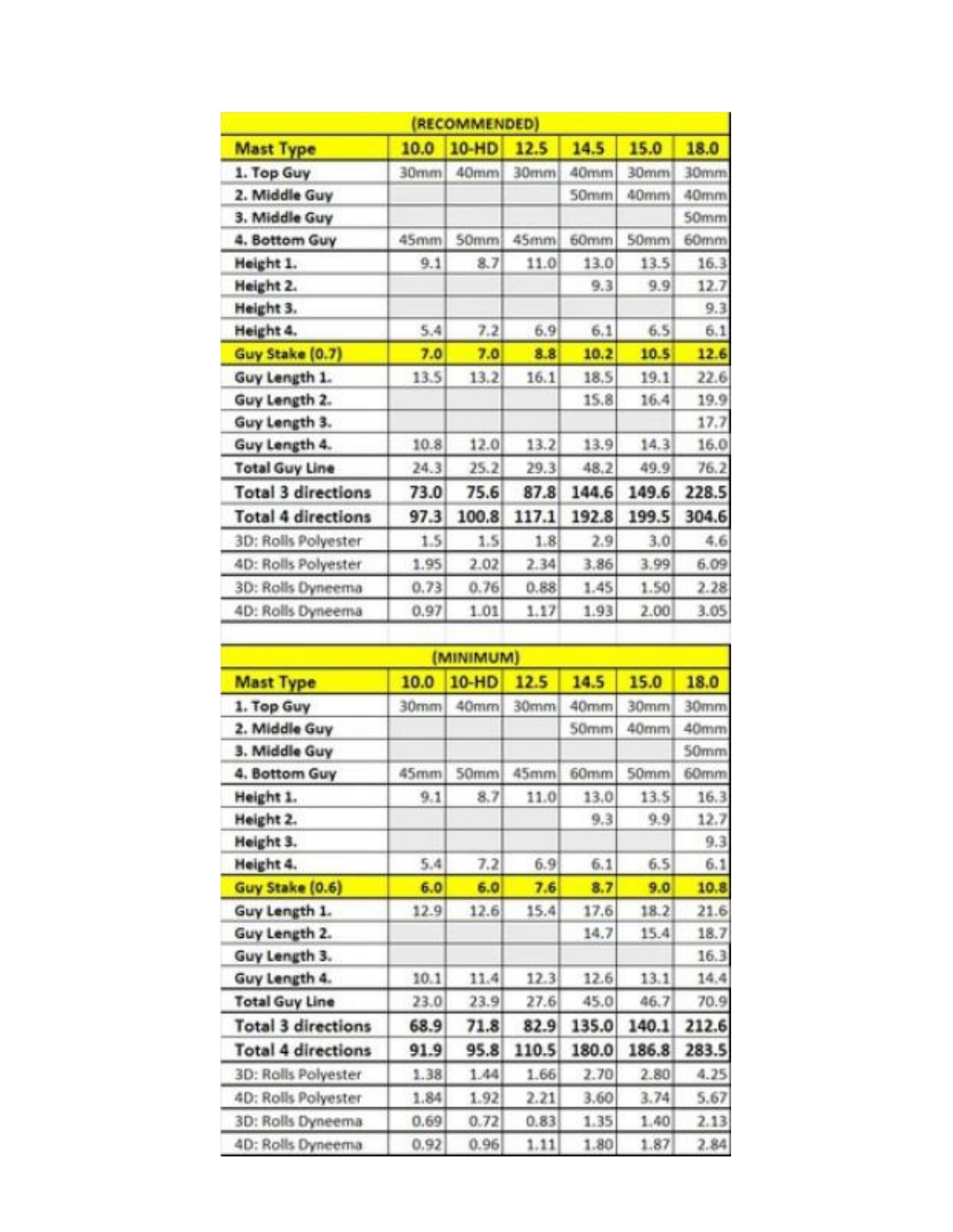| (RECOMMENDED)             |      |              |       |       |       |       |  |  |  |  |
|---------------------------|------|--------------|-------|-------|-------|-------|--|--|--|--|
| <b>Mast Type</b>          | 10.0 | <b>10-HD</b> | 12.5  | 14.5  | 15.0  | 18.0  |  |  |  |  |
| 1. Top Guy                | 30mm | 40mm         | 30mm  | 40mm  | 30mm  | 30mm  |  |  |  |  |
| 2. Middle Guy             |      |              |       | 50mm  | 40mm  | 40mm  |  |  |  |  |
| 3. Middle Guy             |      |              |       |       |       | 50mm  |  |  |  |  |
| 4. Bottom Guy             | 45mm | 50mm         | 45mm  | 60mm  | 50mm  | 60mm  |  |  |  |  |
| Height 1.                 | 9.1  | 8.7          | 11.0  | 13.0  | 13.5  | 16.3  |  |  |  |  |
| Height 2.                 |      |              |       | 9.3   | 9.9   | 12.7  |  |  |  |  |
| Height 3.                 |      |              |       |       |       | 9.3   |  |  |  |  |
| Height 4.                 | 5.4  | 7.2          | 6.9   | 6.1   | 6.5   | 6.1   |  |  |  |  |
| Guy Stake (0.7)           | 7.0  | 7.0          | 8.8   | 10.2  | 10.5  | 12.6  |  |  |  |  |
| Guy Length 1.             | 13.5 | 13.2         | 16.1  | 18.5  | 19.1  | 22.6  |  |  |  |  |
| Guy Length 2.             |      |              |       | 15.8  | 16.4  | 19.9  |  |  |  |  |
| Guy Length 3.             |      |              |       |       |       | 17.7  |  |  |  |  |
| Guy Length 4.             | 10.8 | 12.0         | 13.2  | 13.9  | 14.3  | 16.0  |  |  |  |  |
| <b>Total Guy Line</b>     | 24.3 | 25.2         | 29.3  | 48.2  | 49.9  | 76.2  |  |  |  |  |
| <b>Total 3 directions</b> | 73.0 | 75.6         | 87.8  | 144.6 | 149.6 | 228.5 |  |  |  |  |
| <b>Total 4 directions</b> | 97.3 | 100.8        | 117.1 | 192.8 | 199.5 | 304.6 |  |  |  |  |
| 3D: Rolls Polyester       | 1.5  | 1.5          | 1.8   | 2.9   | 3.0   | 4.6   |  |  |  |  |
| 4D: Rolls Polyester       | 1.95 | 2.02         | 2.34  | 3.86  | 3.99  | 6.09  |  |  |  |  |
| 3D: Rolls Dyneema         | 0.73 | 0.76         | 0.88  | 1.45  | 1.50  | 2.28  |  |  |  |  |
| 4D: Rolls Dyneema         | 0.97 | 1.01         | 1.17  | 1.93  | 2.00  | 3.05  |  |  |  |  |
|                           |      |              |       |       |       |       |  |  |  |  |

| (MINIMUM)                 |      |              |       |       |                  |       |  |  |  |  |  |
|---------------------------|------|--------------|-------|-------|------------------|-------|--|--|--|--|--|
| <b>Mast Type</b>          | 10.0 | <b>10-HD</b> | 12.5  | 14.5  | 15.0             | 18.0  |  |  |  |  |  |
| 1. Top Guy                | 30mm | 40mm         | 30mm  | 40mm  | 30mm             | 30mm  |  |  |  |  |  |
| 2. Middle Guy             |      |              |       | 50mm  | 40mm             | 40mm  |  |  |  |  |  |
| 3. Middle Guy             |      |              |       |       |                  | 50mm  |  |  |  |  |  |
| 4. Bottom Guy             | 45mm | 50mm         | 45mm  | 60mm  | 50 <sub>mm</sub> | 60mm  |  |  |  |  |  |
| Height 1.                 | 9.1  | 8.7          | 11.0  | 13.0  | 13.5             | 16.3  |  |  |  |  |  |
| Height 2.                 |      |              |       | 9.3   | 9.9              | 12.7  |  |  |  |  |  |
| Height 3.                 |      |              |       |       |                  | 9.3   |  |  |  |  |  |
| Height 4.                 | 5.4  | 7.2          | 6.9   | 6.1   | 6.5              | 6.1   |  |  |  |  |  |
| Guy Stake (0.6)           | 6.0  | 6.0          | 7.6   | 8.7   | 9.0              | 10.8  |  |  |  |  |  |
| Guy Length 1.             | 12.9 | 12.6         | 15.4  | 17.6  | 18.2             | 21.6  |  |  |  |  |  |
| Guy Length 2.             |      |              |       | 14.7  | 15.4             | 18.7  |  |  |  |  |  |
| Guy Length 3.             |      |              |       |       |                  | 16.3  |  |  |  |  |  |
| Guy Length 4.             | 10.1 | 11.4         | 12.3  | 12.6  | 13.1             | 14.4  |  |  |  |  |  |
| <b>Total Guy Line</b>     | 23.0 | 23.9         | 27.6  | 45.0  | 46.7             | 70.9  |  |  |  |  |  |
| <b>Total 3 directions</b> | 68.9 | 71.8         | 82.9  | 135.0 | 140.1            | 212.6 |  |  |  |  |  |
| <b>Total 4 directions</b> | 91.9 | 95.8         | 110.5 | 180.0 | 186.8            | 283.5 |  |  |  |  |  |
| 3D: Rolls Polyester       | 1.38 | 1.44         | 1.66  | 2.70  | 2.80             | 4.25  |  |  |  |  |  |
| 4D: Rolls Polyester       | 1.84 | 1.92         | 2.21  | 3.60  | 3.74             | 5.67  |  |  |  |  |  |
| 3D: Rolls Dyneema         | 0.69 | 0.72         | 0.83  | 1.35  | 1.40             | 2.13  |  |  |  |  |  |
| 4D: Rolls Dyneema         | 0.92 | 0.96         | 1.11  | 1.80  | 1.87             | 2.84  |  |  |  |  |  |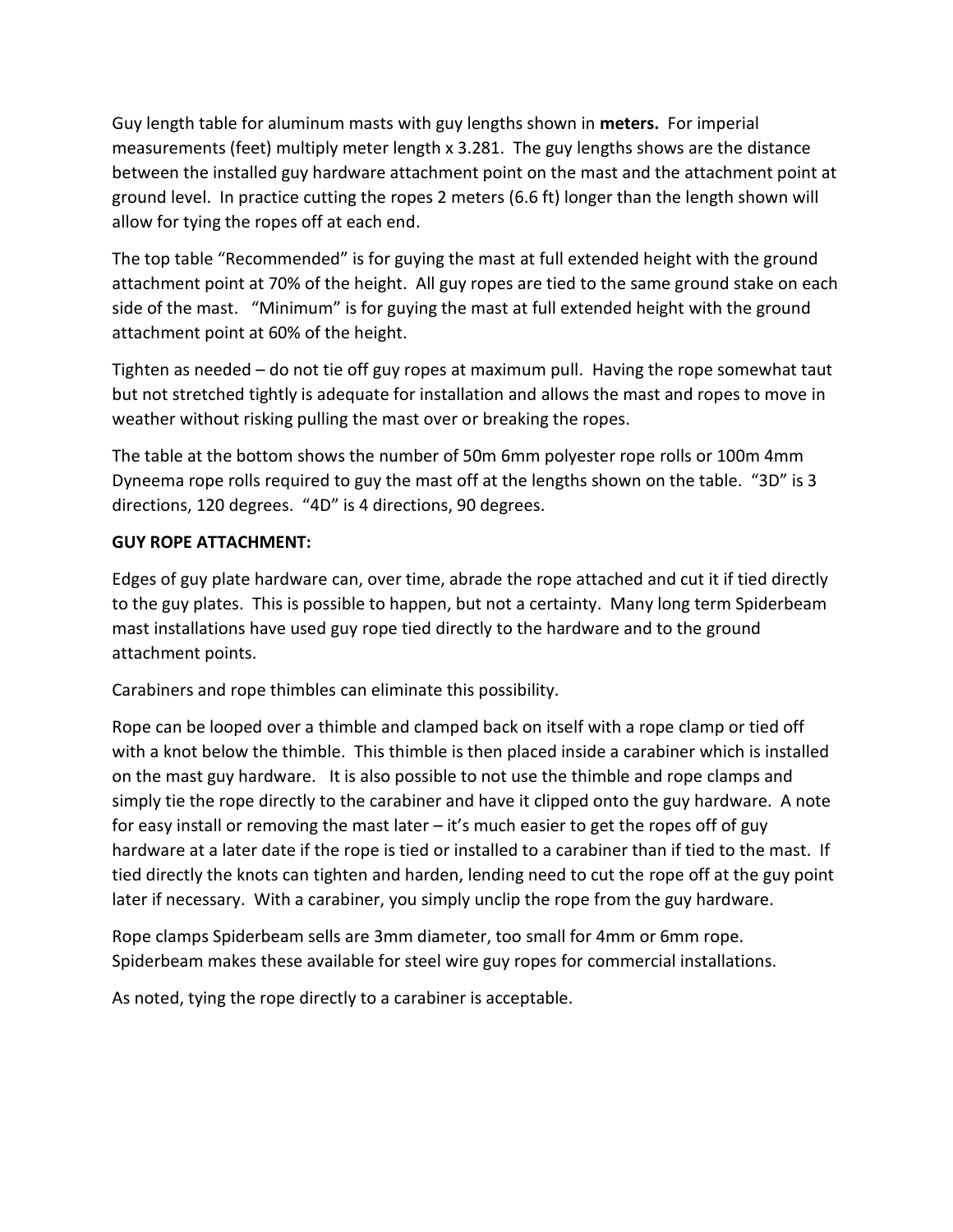Guy length table for aluminum masts with guy lengths shown in **meters.** For imperial measurements (feet) multiply meter length x 3.281. The guy lengths shows are the distance between the installed guy hardware attachment point on the mast and the attachment point at ground level. In practice cutting the ropes 2 meters (6.6 ft) longer than the length shown will allow for tying the ropes off at each end.

The top table "Recommended" is for guying the mast at full extended height with the ground attachment point at 70% of the height. All guy ropes are tied to the same ground stake on each side of the mast. "Minimum" is for guying the mast at full extended height with the ground attachment point at 60% of the height.

Tighten as needed – do not tie off guy ropes at maximum pull. Having the rope somewhat taut but not stretched tightly is adequate for installation and allows the mast and ropes to move in weather without risking pulling the mast over or breaking the ropes.

The table at the bottom shows the number of 50m 6mm polyester rope rolls or 100m 4mm Dyneema rope rolls required to guy the mast off at the lengths shown on the table. "3D" is 3 directions, 120 degrees. "4D" is 4 directions, 90 degrees.

# **GUY ROPE ATTACHMENT:**

Edges of guy plate hardware can, over time, abrade the rope attached and cut it if tied directly to the guy plates. This is possible to happen, but not a certainty. Many long term Spiderbeam mast installations have used guy rope tied directly to the hardware and to the ground attachment points.

Carabiners and rope thimbles can eliminate this possibility.

Rope can be looped over a thimble and clamped back on itself with a rope clamp or tied off with a knot below the thimble. This thimble is then placed inside a carabiner which is installed on the mast guy hardware. It is also possible to not use the thimble and rope clamps and simply tie the rope directly to the carabiner and have it clipped onto the guy hardware. A note for easy install or removing the mast later  $-$  it's much easier to get the ropes off of guy hardware at a later date if the rope is tied or installed to a carabiner than if tied to the mast. If tied directly the knots can tighten and harden, lending need to cut the rope off at the guy point later if necessary. With a carabiner, you simply unclip the rope from the guy hardware.

Rope clamps Spiderbeam sells are 3mm diameter, too small for 4mm or 6mm rope. Spiderbeam makes these available for steel wire guy ropes for commercial installations.

As noted, tying the rope directly to a carabiner is acceptable.